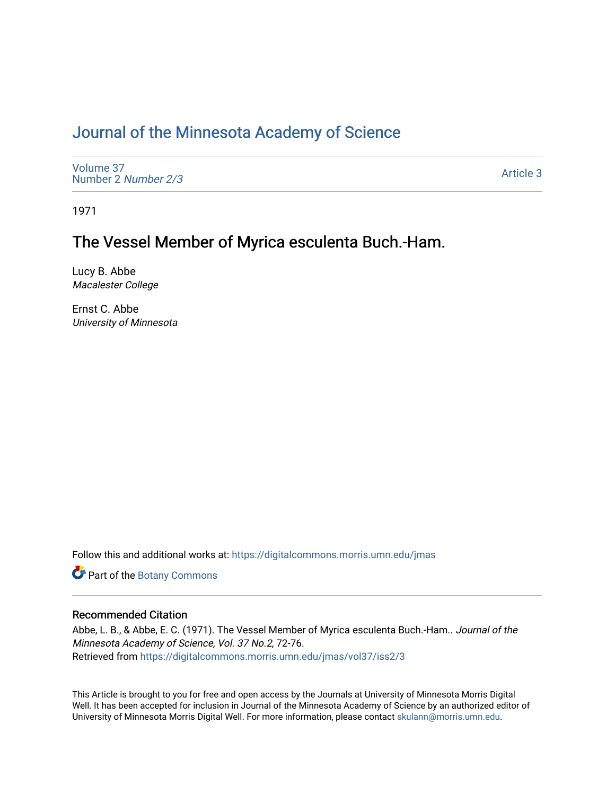## [Journal of the Minnesota Academy of Science](https://digitalcommons.morris.umn.edu/jmas)

[Volume 37](https://digitalcommons.morris.umn.edu/jmas/vol37) [Number 2](https://digitalcommons.morris.umn.edu/jmas/vol37/iss2) Number 2/3

[Article 3](https://digitalcommons.morris.umn.edu/jmas/vol37/iss2/3) 

1971

## The Vessel Member of Myrica esculenta Buch.-Ham.

Lucy B. Abbe Macalester College

Ernst C. Abbe University of Minnesota

Follow this and additional works at: [https://digitalcommons.morris.umn.edu/jmas](https://digitalcommons.morris.umn.edu/jmas?utm_source=digitalcommons.morris.umn.edu%2Fjmas%2Fvol37%2Fiss2%2F3&utm_medium=PDF&utm_campaign=PDFCoverPages) 

Part of the [Botany Commons](https://network.bepress.com/hgg/discipline/104?utm_source=digitalcommons.morris.umn.edu%2Fjmas%2Fvol37%2Fiss2%2F3&utm_medium=PDF&utm_campaign=PDFCoverPages) 

### Recommended Citation

Abbe, L. B., & Abbe, E. C. (1971). The Vessel Member of Myrica esculenta Buch.-Ham.. Journal of the Minnesota Academy of Science, Vol. 37 No.2, 72-76. Retrieved from [https://digitalcommons.morris.umn.edu/jmas/vol37/iss2/3](https://digitalcommons.morris.umn.edu/jmas/vol37/iss2/3?utm_source=digitalcommons.morris.umn.edu%2Fjmas%2Fvol37%2Fiss2%2F3&utm_medium=PDF&utm_campaign=PDFCoverPages)

This Article is brought to you for free and open access by the Journals at University of Minnesota Morris Digital Well. It has been accepted for inclusion in Journal of the Minnesota Academy of Science by an authorized editor of University of Minnesota Morris Digital Well. For more information, please contact [skulann@morris.umn.edu](mailto:skulann@morris.umn.edu).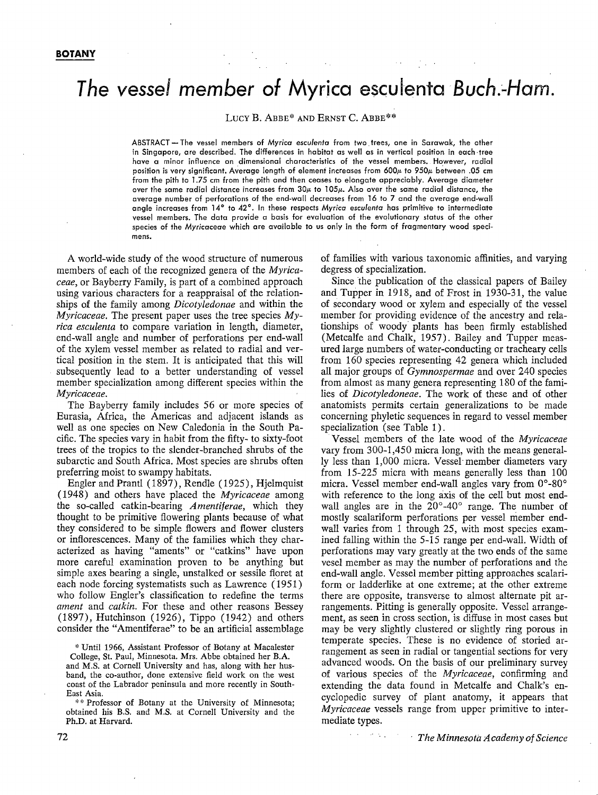# **The vessel member of Myrica esculenta Buch.·-Ham.**

LUCY B. ABBE\* AND ERNST C. ABBE\*\*

ABSTRACT- The vessel members of *Myrica* escu/enta from two\_ trees, one in Sarawak, the other in Singapore, are described. The differences in habitat as well as in vertical position in each-tree have *a* minor influence on dimensional characteristics of the vessel members. However, radial position is very significant. Average length of element increases from 600µ to 950µ between .05 cm from the pith to 1.75 cm from the pith and then ceases to elongate appreciably. Average diameter over the same radial distance increases from 30µ, to l *05µ.* Also over the same radial distance, the average number of perforations of the end-wall decreases from 16 to 7 and the average end-wall angle increases from 14° to 42 °. In these respects *Myrica* escu/enta has primitive to intermediate vessel members. The data provide a basis for evaluation of the evolutionary status of the other species of the Myricaceae which are available to *us* only in the form of fragmentary wood specimens.

A world-wide study of the wood structure of numerous members of each of the recognized genera of the *Myricaceae,* or Bayberry Family, is part of a combined approach using various characters for a reappraisal of the relationships of the family among *Dicotyledonae* and within the *Myricaceae.* The present paper uses the tree species *Myrica esculenta* to compare variation in length, diameter, end-wall angle and number of perforations per end-wall of the xylem vessel member as related to radial and vertical position in the stem. It is anticipated that this will subsequently lead to a better understanding of vessel member specialization among different species within the *Myricaceae.* 

The Bayberry family includes 56 or more species of Eurasia, Africa, the Americas and adjacent islands as well as one species on New Caledonia in the South Pacific. The species vary in habit from the fifty- to sixty-foot trees of the tropics to the slender-branched shrubs of the subarctic and South Africa. Most species are shrubs often preferring moist to swampy habitats.

Engler and Prantl (1897), Rendle (1925), Hjelmquist (1948) and others have placed the *Myricaceae* among the so-called catkin-bearing *Amentiferae,* which they thought to be primitive flowering plants because of what they considered to be simple flowers and flower clusters or inflorescences. Many of the families which they characterized as having "aments" or "catkins" have upon more careful examination proven to be anything but simple axes bearing a single, unstalked or sessile floret at each node forcing systematists such as Lawrence {1951) who follow Engler's classification to redefine the terms *ament* and *catkin.* For these and other reasons Bessey (1897), Hutchinson (1926), Tippo (1942) and others consider the "Amentiferae" to be an artificial assemblage

\* Until 1966, Assistant Professor of Botany at Macalester College, St. Paul, Minnesota. Mrs. Abbe obtained her **B.A.**  and **M.S.** at Cornell University and has, along with her husband, the co-author, done extensive field work on the west

coast of the Labrador peninsula and more recently in South-East Asia. \*\* Professor of Botany at the University of Minnesota;

obtained his B.S. and M.S. at Cornell University and the **Ph.D.** at Harvard.

of families with various taxonomic affinities, and varying degress of specialization.

Since the publication of the classical papers of Bailey and Tupper in 1918, and of Frost in 1930-31, the value of secondary wood or xylem and especially of the vessel member for providing evidence of the ancestry and relationships of woody plants has been firmly established (Metcalfe and Chalk, 1957). Bailey and Tupper measured large numbers of water-conducting or tracheary cells from 160 species representing 42 genera which included all major groups of *Gymnospermae* and over 240 species from almost as many genera representing 180 of the families of *Dicotyledoneae.* The work of these and of other anatomists permits certain generalizations to be made concerning phyletic sequences in regard to vessel member specialization (see Table 1).

· Vessel members of the late wood of the *Myricaceae*  vary from 300-1,450 micra long, with the means generally less than 1,000 micra. Vessel· member diameters vary from 15-225 micra with means generally less than 100 micra. Vessel member end-wall angles vary from 0°-80° with reference to the long axis of the cell but most endwall angles are in the  $20^{\circ}$ -40° range. The number of mostly scalariform perforations per vessel member endwall varies from 1 through 25, with most species examined falling within the 5-15 range per end-wall. Width of perforations may vary greatly at the two ends of the same vesel member as may the number of perforations and the end-wall angle. Vessel member pitting approaches scalariform or ladderlike at one extreme; at the other extreme there are opposite, transverse to almost alternate pit arrangements. Pitting is generally opposite. Vessel arrangement, as seen in cross section, is diffuse in most cases but may be very slightly clustered or slightly ring porous in temperate species. These is no evidence of storied arrangement as seen in radial or tangential sections for very advanced woods. On the basis of our preliminary survey of various species of the *Myricaceae,* confirming and extending the data found in Metcalfe and Chalk's encyclopedic survey of plant anatomy, it appears that *Myricaceae* vessels range from upper primitive to intermediate types.

 $\mathcal{L}(\mathcal{A})=\mathcal{L}(\mathcal{A})$  .

*The Minnesota A cadeniy of Science*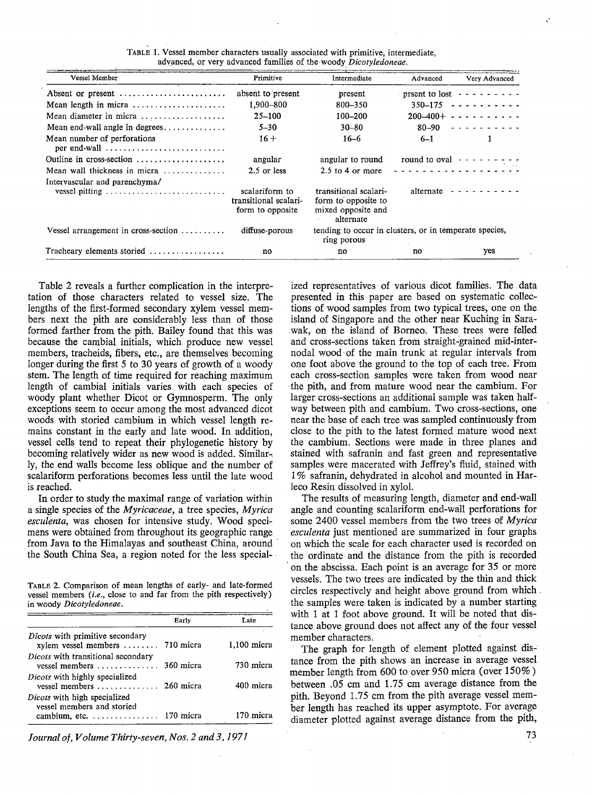| Vessel Member                                     | Primitive                                                   | Intermediate                                                                    | Advanced  | Very Advanced                                                                                                                                                                                                                                                                                                                                                                                                                                                              |
|---------------------------------------------------|-------------------------------------------------------------|---------------------------------------------------------------------------------|-----------|----------------------------------------------------------------------------------------------------------------------------------------------------------------------------------------------------------------------------------------------------------------------------------------------------------------------------------------------------------------------------------------------------------------------------------------------------------------------------|
| Absent or present                                 | absent to present                                           | present                                                                         |           | prsent to lost $- - - - - - -$                                                                                                                                                                                                                                                                                                                                                                                                                                             |
| Mean length in micra                              | 1,900-800                                                   | 800-350                                                                         |           | $350 - 175$ $- - - - - - - - - -$                                                                                                                                                                                                                                                                                                                                                                                                                                          |
| Mean diameter in micra                            | $25 - 100$                                                  | $100 - 200$                                                                     |           | $200-400+ - - - - - - - - - - -$                                                                                                                                                                                                                                                                                                                                                                                                                                           |
| Mean end-wall angle in degrees                    | $5 - 30$                                                    | $30 - 80$                                                                       | 80–90     | . . <i>. .</i>                                                                                                                                                                                                                                                                                                                                                                                                                                                             |
| Mean number of perforations<br>per end-wall       | $16 +$                                                      | $16 - 6$                                                                        | $6 - 1$   |                                                                                                                                                                                                                                                                                                                                                                                                                                                                            |
| Outline in cross-section                          | angular                                                     | angular to round                                                                |           | round to oval $- - - - - - - -$                                                                                                                                                                                                                                                                                                                                                                                                                                            |
| Mean wall thickness in micra $\ldots$ ,,,,,,,,,,, | $2.5$ or less                                               | $2.5$ to 4 or more                                                              |           | . <b>.</b> .                                                                                                                                                                                                                                                                                                                                                                                                                                                               |
| Intervascular and parenchyma/                     |                                                             |                                                                                 |           |                                                                                                                                                                                                                                                                                                                                                                                                                                                                            |
|                                                   | scalariform to<br>transitional scalari-<br>form to opposite | transitional scalari-<br>form to opposite to<br>mixed opposite and<br>alternate | alternate | $\frac{1}{2} \left( \frac{1}{2} \right) \left( \frac{1}{2} \right) \left( \frac{1}{2} \right) \left( \frac{1}{2} \right) \left( \frac{1}{2} \right) \left( \frac{1}{2} \right) \left( \frac{1}{2} \right) \left( \frac{1}{2} \right) \left( \frac{1}{2} \right) \left( \frac{1}{2} \right) \left( \frac{1}{2} \right) \left( \frac{1}{2} \right) \left( \frac{1}{2} \right) \left( \frac{1}{2} \right) \left( \frac{1}{2} \right) \left( \frac{1}{2} \right) \left( \frac$ |
| Vessel arrangement in cross-section $\dots \dots$ | diffuse-porous                                              | tending to occur in clusters, or in temperate species,<br>ring porous           |           |                                                                                                                                                                                                                                                                                                                                                                                                                                                                            |
| Tracheary elements storied                        | no                                                          | no                                                                              | no        | yes                                                                                                                                                                                                                                                                                                                                                                                                                                                                        |

TABLE 1. Vessel member characters usually associated with primitive, intermediate, advanced, or very advanced families of the woody Dicotyledoneae.

Table 2 reveals a further complication in the interpretation of those characters related to vessel size. The lengths of the first-formed secondary xylem vessel members next the pith are considerably less than of those formed farther from the pith. Bailey found that this was because the cambial initials, which produce new vessel members, tracheids, fibers, etc., are themselves becoming longer during the first 5 to 30 years of growth of a woody stem. The length of time required for reaching maximum length of cambial initials varies with each species of woody plant whether Dicot or Gymnosperm. The only exceptions- seem to occur among the most advanced dicot woods with storied cambium in which vessel length remains constant in the early and late wood. In addition, vessel cells tend to repeat their phylogenetic history by becoming relatively wider as new wood is added. Similarly, the end walls become less oblique and the number of scalariform perforations becomes less until the late wood is reached.

In order to study the maximal range of variation within a single species of the *Myricaceae,* a tree species, *Myrica esculenta,* was chosen for intensive study. Wood specimens were obtained from throughout its geographic range from Java to the Himalayas and southeast China, around the South China Sea, a region noted for the less special-

TABLE 2. Comparison of mean lengths of early- and late-formed vessel members *(i.e.,* close to and far from the pith respectively) in woody *Dicotyledoneae.* 

|                                                                                                                       | Early     | Late          |
|-----------------------------------------------------------------------------------------------------------------------|-----------|---------------|
| Dicots with primitive secondary<br>$x$ vessel members $\dots \dots$ 710 micra                                         |           | $1,100$ micra |
| Dicots with transitional secondary<br>vessel members $\dots\dots\dots\dots\dots$                                      | 360 micra | 730 micra     |
| Dicots with highly specialized<br>vessel members $\dots \dots \dots \dots$                                            | 260 micra | 400 micra     |
| Dicots with high specialized<br>vessel members and storied<br>cambium, etc. $\dots \dots \dots \dots \dots$ 170 micra |           | 170 micra     |

*Journal of, Volume Thirty-seven, Nos. 2 and 3, 1971* 

ized representatives of various dicot families. The data presented in this paper are based on systematic collections of wood samples from two typical trees, one on the island of Singapore and the other near Kuching in Sara- . wak, on the island of Borneo. These trees were felled and cross-sections taken from straight-grained mid-internodal wood• of the main trunk at regular intervals from one foot above the ground to the top of each tree. From each cross-section samples were taken from wood near the pith, and from mature wood near the cambium. For larger cross-sections an additional sample was taken halfway between pith and cambium. Two cross-sections, one near the base of each tree was sampled continuously from close to the pith to the latest formed mature wood next the cambium. Sections were made in three planes and stained with safranin and fast green and representative samples were macerated with Jeffrey's fluid, stained with 1 % safranin, dehydrated in alcohol and mounted in Harleco Resin dissolved in xylol.

The results of measuring length, diameter and end-wall angle and counting scalariform end-wall perforations for some 2400 vessel members from the two trees of *Myrica esculenta* just mentioned are summarized in four graphs on which the scale for each character used is recorded on the ordinate and the distance from the pith is recorded on the abscissa. Each point is an average for 35 or more vessels. The two trees are indicated by the thin and thick circles respectively and height above ground from which . the samples were taken is indicated by a number starting with 1 at 1 foot above ground. It will be noted that distance above ground does not affect any of the four vessel member characters.

The graph for length of element plotted against distance from the pith shows an increase in average vessel member length from 600 to over 950 micra (over 150%) between .05 cm and 1.75 cm average distance from the pith. Beyond 1.75 cm from the pith average vessel member length has reached its upper asymptote. For average diameter plotted against average distance from the pith,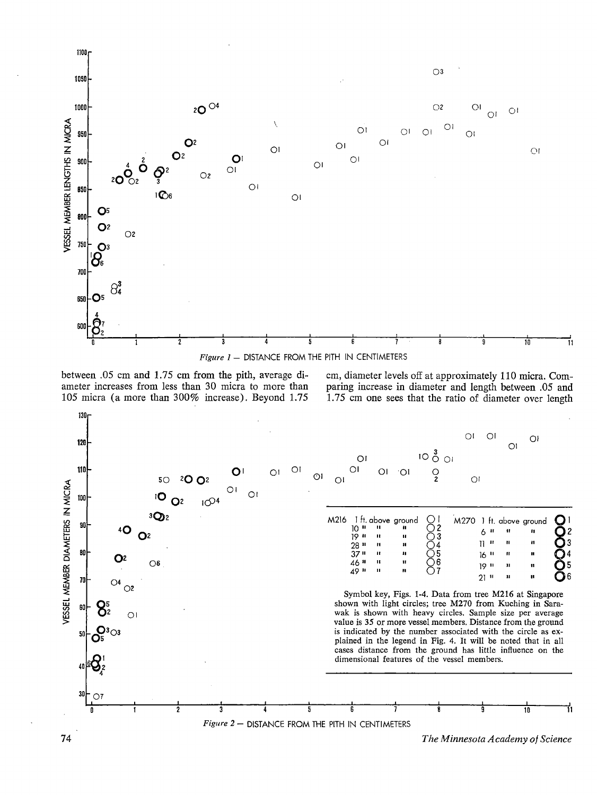

between .05 cm and 1.75 cm from the pith, average diameter increases from less than 30 micra to more than 105 micra (a more than 300% increase). Beyond 1.75

cm, diameter levels off at approximately 110 micra. Comparing increase in diameter and length between .05 and 1.75 cm one sees that the ratio of diameter over length



74 *The Minnesota Academy of Science*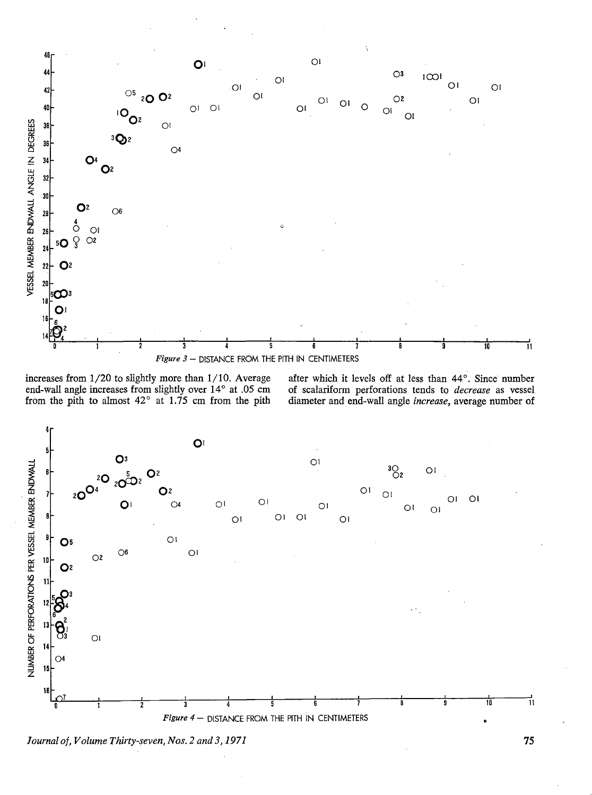

increases from  $1/20$  to slightly more than  $1/10$ . Average end-wall angle increases from slightly over 14° at .05 cm from the pith to almost  $42^{\circ}$  at 1.75 cm from the pith

after which it levels off at less than 44°. Since number of scalariform perforations tends to decrease as vessel diameter and end-wall angle increase, average number of



Journal of, Volume Thirty-seven, Nos. 2 and 3, 1971

75